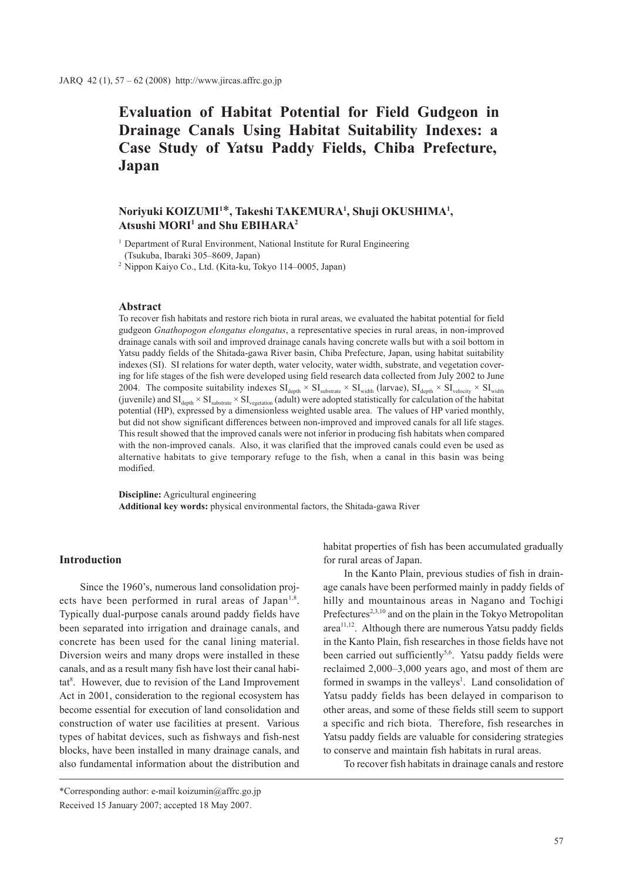**Evaluation of Habitat Potential for Field Gudgeon in Drainage Canals Using Habitat Suitability Indexes: a Case Study of Yatsu Paddy Fields, Chiba Prefecture, Japan**

# **Noriyuki KOIZUMI1** \***, Takeshi TAKEMURA1 , Shuji OKUSHIMA1 ,**   $A$ tsushi MORI<sup>1</sup> and Shu EBIHARA<sup>2</sup>

<sup>1</sup> Department of Rural Environment, National Institute for Rural Engineering (Tsukuba, Ibaraki 305–8609, Japan)

<sup>2</sup> Nippon Kaiyo Co., Ltd. (Kita-ku, Tokyo 114–0005, Japan)

### **Abstract**

To recover fish habitats and restore rich biota in rural areas, we evaluated the habitat potential for field gudgeon *Gnathopogon elongatus elongatus*, a representative species in rural areas, in non-improved drainage canals with soil and improved drainage canals having concrete walls but with a soil bottom in Yatsu paddy fields of the Shitada-gawa River basin, Chiba Prefecture, Japan, using habitat suitability indexes (SI). SI relations for water depth, water velocity, water width, substrate, and vegetation covering for life stages of the fish were developed using field research data collected from July 2002 to June 2004. The composite suitability indexes  $SI_{depth} \times SI_{substrate} \times SI_{width}$  (larvae),  $SI_{depth} \times SI_{velocity} \times SI_{width}$ (juvenile) and  $SI_{depth} \times SI_{substrate} \times SI_{vector}$  (adult) were adopted statistically for calculation of the habitat potential (HP), expressed by a dimensionless weighted usable area. The values of HP varied monthly, but did not show significant differences between non-improved and improved canals for all life stages. This result showed that the improved canals were not inferior in producing fish habitats when compared with the non-improved canals. Also, it was clarified that the improved canals could even be used as alternative habitats to give temporary refuge to the fish, when a canal in this basin was being modified.

**Discipline:** Agricultural engineering **Additional key words:** physical environmental factors, the Shitada-gawa River

### **Introduction**

Since the 1960's, numerous land consolidation projects have been performed in rural areas of Japan<sup>1,8</sup>. Typically dual-purpose canals around paddy fields have been separated into irrigation and drainage canals, and concrete has been used for the canal lining material. Diversion weirs and many drops were installed in these canals, and as a result many fish have lost their canal habitat<sup>8</sup>. However, due to revision of the Land Improvement Act in 2001, consideration to the regional ecosystem has become essential for execution of land consolidation and construction of water use facilities at present. Various types of habitat devices, such as fishways and fish-nest blocks, have been installed in many drainage canals, and also fundamental information about the distribution and

habitat properties of fish has been accumulated gradually for rural areas of Japan.

In the Kanto Plain, previous studies of fish in drainage canals have been performed mainly in paddy fields of hilly and mountainous areas in Nagano and Tochigi Prefectures<sup>2,3,10</sup> and on the plain in the Tokyo Metropolitan  $area<sup>11,12</sup>$ . Although there are numerous Yatsu paddy fields in the Kanto Plain, fish researches in those fields have not been carried out sufficiently<sup>5,6</sup>. Yatsu paddy fields were reclaimed 2,000–3,000 years ago, and most of them are formed in swamps in the valleys<sup>1</sup>. Land consolidation of Yatsu paddy fields has been delayed in comparison to other areas, and some of these fields still seem to support a specific and rich biota. Therefore, fish researches in Yatsu paddy fields are valuable for considering strategies to conserve and maintain fish habitats in rural areas.

To recover fish habitats in drainage canals and restore

<sup>\*</sup>Corresponding author: e-mail koizumin@affrc.go.jp Received 15 January 2007; accepted 18 May 2007.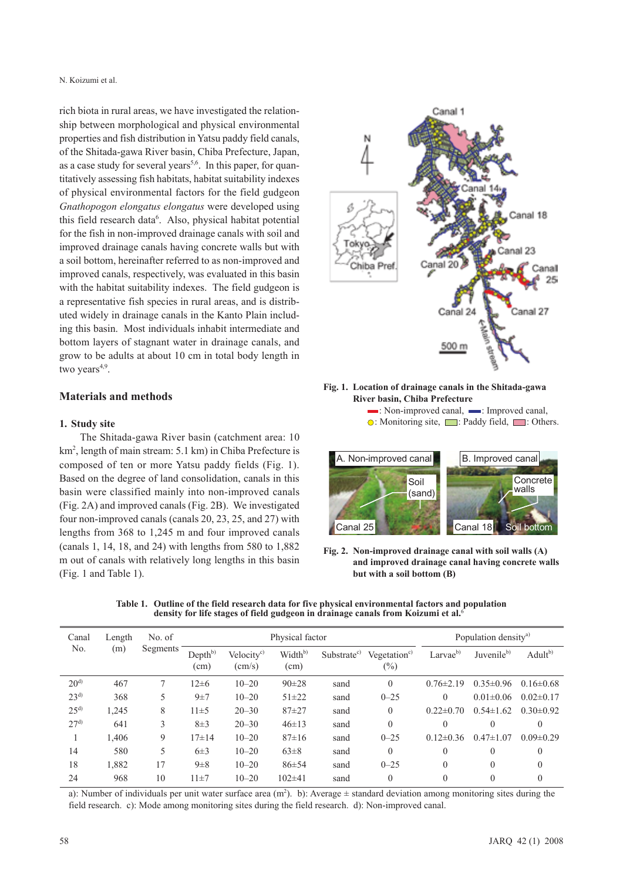rich biota in rural areas, we have investigated the relationship between morphological and physical environmental properties and fish distribution in Yatsu paddy field canals, of the Shitada-gawa River basin, Chiba Prefecture, Japan, as a case study for several years<sup>5,6</sup>. In this paper, for quantitatively assessing fish habitats, habitat suitability indexes of physical environmental factors for the field gudgeon *Gnathopogon elongatus elongatus* were developed using this field research data<sup>6</sup>. Also, physical habitat potential for the fish in non-improved drainage canals with soil and improved drainage canals having concrete walls but with a soil bottom, hereinafter referred to as non-improved and improved canals, respectively, was evaluated in this basin with the habitat suitability indexes. The field gudgeon is a representative fish species in rural areas, and is distributed widely in drainage canals in the Kanto Plain including this basin. Most individuals inhabit intermediate and bottom layers of stagnant water in drainage canals, and grow to be adults at about 10 cm in total body length in two years $4,9$ .

### **Materials and methods**

#### **1. Study site**

The Shitada-gawa River basin (catchment area: 10 km2 , length of main stream: 5.1 km) in Chiba Prefecture is composed of ten or more Yatsu paddy fields (Fig. 1). Based on the degree of land consolidation, canals in this basin were classified mainly into non-improved canals (Fig. 2A) and improved canals (Fig. 2B). We investigated four non-improved canals (canals 20, 23, 25, and 27) with lengths from 368 to 1,245 m and four improved canals (canals 1, 14, 18, and 24) with lengths from 580 to 1,882 m out of canals with relatively long lengths in this basin (Fig. 1 and Table 1).



#### **Fig. 1. Location of drainage canals in the Shitada-gawa River basin, Chiba Prefecture**  $\blacksquare$ : Non-improved canal,  $\blacksquare$ : Improved canal,

 $\odot$ : Monitoring site,  $\Box$ : Paddy field,  $\Box$ : Others.



**Fig. 2. Non-improved drainage canal with soil walls (A) and improved drainage canal having concrete walls but with a soil bottom (B)**

| Canal<br>No.    | Length<br>(m) | No. of<br>Segments | Physical factor             |                                           |                             |                         |                                    | Population density <sup>a)</sup> |                        |                     |
|-----------------|---------------|--------------------|-----------------------------|-------------------------------------------|-----------------------------|-------------------------|------------------------------------|----------------------------------|------------------------|---------------------|
|                 |               |                    | Depth <sup>b)</sup><br>(cm) | Velocity <sup>c)</sup><br>$\text{(cm/s)}$ | Width <sup>b)</sup><br>(cm) | Substrate <sup>c)</sup> | Vegetation <sup>c)</sup><br>$(\%)$ | Larvae $^{b)}$                   | Juvenile <sup>b)</sup> | Adult <sup>b)</sup> |
| 20 <sup>d</sup> | 467           |                    | $12\pm 6$                   | $10 - 20$                                 | $90 \pm 28$                 | sand                    | $\theta$                           | $0.76 \pm 2.19$                  | $0.35 \pm 0.96$        | $0.16 \pm 0.68$     |
| $23^{d}$        | 368           | 5                  | $9\pm7$                     | $10 - 20$                                 | $51 \pm 22$                 | sand                    | $0 - 25$                           | 0                                | $0.01 \pm 0.06$        | $0.02 \pm 0.17$     |
| $25^{d)}$       | 1,245         | 8                  | $11\pm5$                    | $20 - 30$                                 | $87 + 27$                   | sand                    | $\theta$                           | $0.22 \pm 0.70$                  | $0.54 \pm 1.62$        | $0.30 \pm 0.92$     |
| $27^{d}$        | 641           | 3                  | $8\pm3$                     | $20 - 30$                                 | $46 \pm 13$                 | sand                    | $\theta$                           | 0                                | 0                      | $\Omega$            |
|                 | 1,406         | 9                  | $17\pm14$                   | $10 - 20$                                 | $87 \pm 16$                 | sand                    | $0 - 25$                           | $0.12\pm0.36$                    | $0.47 \pm 1.07$        | $0.09 \pm 0.29$     |
| 14              | 580           | 5                  | $6\pm3$                     | $10 - 20$                                 | $63\pm8$                    | sand                    | $\theta$                           | $\theta$                         | $\theta$               | $\Omega$            |
| 18              | 1,882         | 17                 | $9\pm8$                     | $10 - 20$                                 | $86 \pm 54$                 | sand                    | $0 - 25$                           | $\theta$                         | $\overline{0}$         | $\theta$            |
| 24              | 968           | 10                 | $11 \pm 7$                  | $10 - 20$                                 | $102\pm41$                  | sand                    | $\theta$                           | $\theta$                         | $\overline{0}$         | $\Omega$            |

**Table 1. Outline of the field research data for five physical environmental factors and population density for life stages of field gudgeon in drainage canals from Koizumi et al.**<sup>6</sup>

a): Number of individuals per unit water surface area  $(m^2)$ . b): Average  $\pm$  standard deviation among monitoring sites during the field research. c): Mode among monitoring sites during the field research. d): Non-improved canal.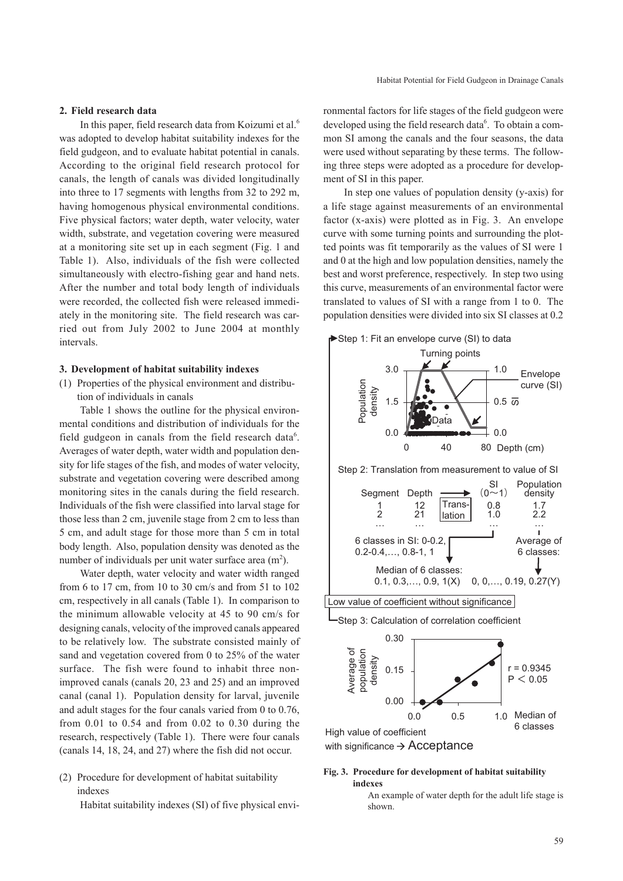#### **2. Field research data**

In this paper, field research data from Koizumi et al.6 was adopted to develop habitat suitability indexes for the field gudgeon, and to evaluate habitat potential in canals. According to the original field research protocol for canals, the length of canals was divided longitudinally into three to 17 segments with lengths from 32 to 292 m, having homogenous physical environmental conditions. Five physical factors; water depth, water velocity, water width, substrate, and vegetation covering were measured at a monitoring site set up in each segment (Fig. 1 and Table 1). Also, individuals of the fish were collected simultaneously with electro-fishing gear and hand nets. After the number and total body length of individuals were recorded, the collected fish were released immediately in the monitoring site. The field research was carried out from July 2002 to June 2004 at monthly intervals.

#### **3. Development of habitat suitability indexes**

(1) Properties of the physical environment and distribution of individuals in canals

Table 1 shows the outline for the physical environmental conditions and distribution of individuals for the field gudgeon in canals from the field research data<sup>6</sup>. Averages of water depth, water width and population density for life stages of the fish, and modes of water velocity, substrate and vegetation covering were described among monitoring sites in the canals during the field research. Individuals of the fish were classified into larval stage for those less than 2 cm, juvenile stage from 2 cm to less than 5 cm, and adult stage for those more than 5 cm in total body length. Also, population density was denoted as the number of individuals per unit water surface area  $(m<sup>2</sup>)$ .

Water depth, water velocity and water width ranged from 6 to 17 cm, from 10 to 30 cm/s and from 51 to 102 cm, respectively in all canals (Table 1). In comparison to the minimum allowable velocity at 45 to 90 cm/s for designing canals, velocity of the improved canals appeared to be relatively low. The substrate consisted mainly of sand and vegetation covered from 0 to 25% of the water surface. The fish were found to inhabit three nonimproved canals (canals 20, 23 and 25) and an improved canal (canal 1). Population density for larval, juvenile and adult stages for the four canals varied from 0 to 0.76, from 0.01 to 0.54 and from 0.02 to 0.30 during the research, respectively (Table 1). There were four canals (canals 14, 18, 24, and 27) where the fish did not occur.

# (2) Procedure for development of habitat suitability indexes

Habitat suitability indexes (SI) of five physical envi-

ronmental factors for life stages of the field gudgeon were developed using the field research data<sup>6</sup>. To obtain a common SI among the canals and the four seasons, the data were used without separating by these terms. The following three steps were adopted as a procedure for development of SI in this paper.

In step one values of population density (y-axis) for a life stage against measurements of an environmental factor (x-axis) were plotted as in Fig. 3. An envelope curve with some turning points and surrounding the plotted points was fit temporarily as the values of SI were 1 and 0 at the high and low population densities, namely the best and worst preference, respectively. In step two using this curve, measurements of an environmental factor were translated to values of SI with a range from 1 to 0. The population densities were divided into six SI classes at 0.2



with significance  $\rightarrow$  Acceptance

## **Fig. 3. Procedure for development of habitat suitability indexes**

An example of water depth for the adult life stage is shown.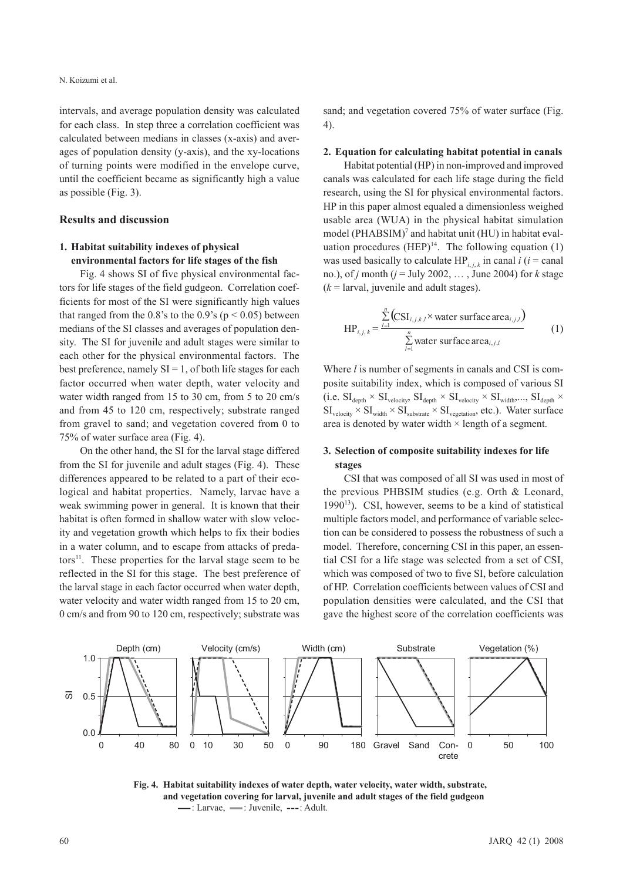intervals, and average population density was calculated for each class. In step three a correlation coefficient was calculated between medians in classes (x-axis) and averages of population density (y-axis), and the xy-locations of turning points were modified in the envelope curve, until the coefficient became as significantly high a value as possible (Fig. 3).

#### **Results and discussion**

# **1. Habitat suitability indexes of physical environmental factors for life stages of the fish**

Fig. 4 shows SI of five physical environmental factors for life stages of the field gudgeon. Correlation coefficients for most of the SI were significantly high values that ranged from the 0.8's to the 0.9's ( $p < 0.05$ ) between medians of the SI classes and averages of population density. The SI for juvenile and adult stages were similar to each other for the physical environmental factors. The best preference, namely  $SI = 1$ , of both life stages for each factor occurred when water depth, water velocity and water width ranged from 15 to 30 cm, from 5 to 20 cm/s and from 45 to 120 cm, respectively; substrate ranged from gravel to sand; and vegetation covered from 0 to 75% of water surface area (Fig. 4).

On the other hand, the SI for the larval stage differed from the SI for juvenile and adult stages (Fig. 4). These differences appeared to be related to a part of their ecological and habitat properties. Namely, larvae have a weak swimming power in general. It is known that their habitat is often formed in shallow water with slow velocity and vegetation growth which helps to fix their bodies in a water column, and to escape from attacks of predators $11$ . These properties for the larval stage seem to be reflected in the SI for this stage. The best preference of the larval stage in each factor occurred when water depth, water velocity and water width ranged from 15 to 20 cm, 0 cm/s and from 90 to 120 cm, respectively; substrate was sand; and vegetation covered 75% of water surface (Fig. 4).

#### **2. Equation for calculating habitat potential in canals**

Habitat potential (HP) in non-improved and improved canals was calculated for each life stage during the field research, using the SI for physical environmental factors. HP in this paper almost equaled a dimensionless weighed usable area (WUA) in the physical habitat simulation model (PHABSIM)<sup>7</sup> and habitat unit (HU) in habitat evaluation procedures  $(HEP)^{14}$ . The following equation (1) was used basically to calculate  $HP_{i,j,k}$  in canal *i* (*i* = canal no.), of *j* month ( $j =$  July 2002, ..., June 2004) for  $k$  stage  $(k =$  larval, juvenile and adult stages).

$$
HP_{i,j,k} = \frac{\sum_{l=1}^{n} (CSI_{i,j,k,l} \times water surface area_{i,j,l})}{\sum_{l=1}^{n} water surface area_{i,j,l}}
$$
 (1)

Where *l* is number of segments in canals and CSI is composite suitability index, which is composed of various SI  $(i.e. SI<sub>depth</sub> \times SI<sub>velocity</sub>, SI<sub>depth</sub> \times SI<sub>velocity</sub> \times SI<sub>width</sub>,..., SI<sub>depth</sub> \times SI<sub>right</sub>$  $SL_{\text{velocity}} \times SL_{\text{width}} \times SL_{\text{substrate}} \times SL_{\text{regetation}}$ , etc.). Water surface area is denoted by water width × length of a segment.

# **3. Selection of composite suitability indexes for life stages**

CSI that was composed of all SI was used in most of the previous PHBSIM studies (e.g. Orth & Leonard,  $1990<sup>13</sup>$ ). CSI, however, seems to be a kind of statistical multiple factors model, and performance of variable selection can be considered to possess the robustness of such a model. Therefore, concerning CSI in this paper, an essential CSI for a life stage was selected from a set of CSI, which was composed of two to five SI, before calculation of HP. Correlation coefficients between values of CSI and population densities were calculated, and the CSI that gave the highest score of the correlation coefficients was



**Fig. 4. Habitat suitability indexes of water depth, water velocity, water width, substrate, and vegetation covering for larval, juvenile and adult stages of the field gudgeon —**: Larvae, — : Juvenile, ---: Adult.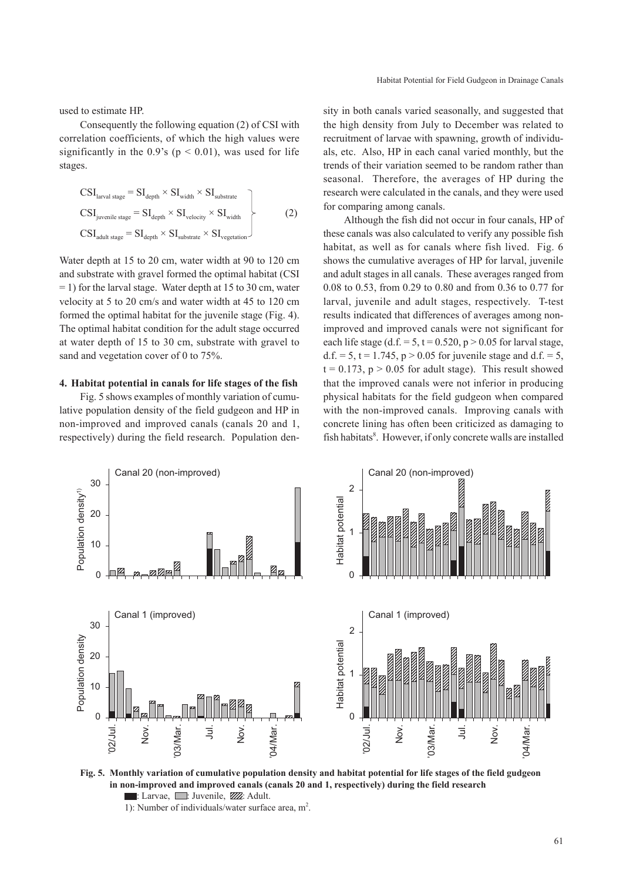used to estimate HP.

Consequently the following equation (2) of CSI with correlation coefficients, of which the high values were significantly in the 0.9's ( $p < 0.01$ ), was used for life stages.

$$
CSIlarval stage = SIdepth × SIwidth × SIsubstrate
$$
  
\n
$$
CSIjuvenile stage = SIdepth × SIvelocity × SIwidth
$$
  
\n
$$
CSIadult stage = SIdepth × SIsubstrate × SIvegetation
$$
\n(2)

Water depth at 15 to 20 cm, water width at 90 to 120 cm and substrate with gravel formed the optimal habitat (CSI  $= 1$ ) for the larval stage. Water depth at 15 to 30 cm, water velocity at 5 to 20 cm/s and water width at 45 to 120 cm formed the optimal habitat for the juvenile stage (Fig. 4). The optimal habitat condition for the adult stage occurred at water depth of 15 to 30 cm, substrate with gravel to sand and vegetation cover of 0 to 75%.

#### **4. Habitat potential in canals for life stages of the fish**

Fig. 5 shows examples of monthly variation of cumulative population density of the field gudgeon and HP in non-improved and improved canals (canals 20 and 1, respectively) during the field research. Population den-

sity in both canals varied seasonally, and suggested that the high density from July to December was related to recruitment of larvae with spawning, growth of individuals, etc. Also, HP in each canal varied monthly, but the trends of their variation seemed to be random rather than seasonal. Therefore, the averages of HP during the research were calculated in the canals, and they were used for comparing among canals.

Although the fish did not occur in four canals, HP of these canals was also calculated to verify any possible fish habitat, as well as for canals where fish lived. Fig. 6 shows the cumulative averages of HP for larval, juvenile and adult stages in all canals. These averages ranged from 0.08 to 0.53, from 0.29 to 0.80 and from 0.36 to 0.77 for larval, juvenile and adult stages, respectively. T-test results indicated that differences of averages among nonimproved and improved canals were not significant for each life stage (d.f. =  $5$ , t = 0.520, p > 0.05 for larval stage, d.f. = 5, t = 1.745,  $p > 0.05$  for juvenile stage and d.f. = 5,  $t = 0.173$ ,  $p > 0.05$  for adult stage). This result showed that the improved canals were not inferior in producing physical habitats for the field gudgeon when compared with the non-improved canals. Improving canals with concrete lining has often been criticized as damaging to fish habitats<sup>8</sup>. However, if only concrete walls are installed



**Fig. 5. Monthly variation of cumulative population density and habitat potential for life stages of the field gudgeon in non-improved and improved canals (canals 20 and 1, respectively) during the field research**  $\blacksquare$ : Larvae,  $\blacksquare$ : Juvenile,  $\boxtimes$ : Adult.

<sup>1):</sup> Number of individuals/water surface area,  $m<sup>2</sup>$ .